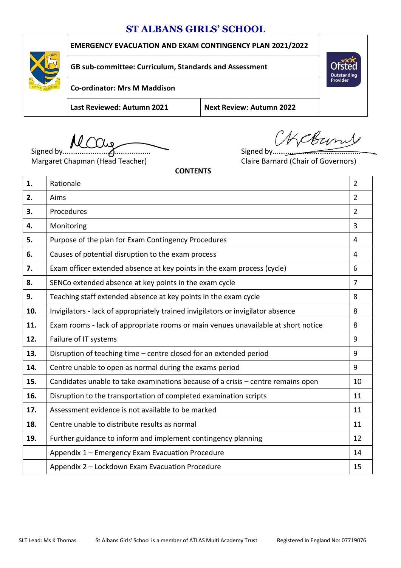# **ST ALBANS GIRLS' SCHOOL**



# **EMERGENCY EVACUATION AND EXAM CONTINGENCY PLAN 2021/2022**

**GB sub-committee: Curriculum, Standards and Assessment**

**Co-ordinator: Mrs M Maddison**

**Last Reviewed: Autumn 2021 Next Review: Autumn 2022**

Signed by……………………………………….. Signed by………………………………………..

Margaret Chapman (Head Teacher) Claire Barnard (Chair of Governors)

Weburnt

Outstanding<br>Provider

**CONTENTS**

| 1.  | Rationale                                                                         | $\overline{2}$ |
|-----|-----------------------------------------------------------------------------------|----------------|
| 2.  | Aims                                                                              | $\overline{2}$ |
| 3.  | Procedures                                                                        | $\overline{2}$ |
| 4.  | Monitoring                                                                        | 3              |
| 5.  | Purpose of the plan for Exam Contingency Procedures                               | 4              |
| 6.  | Causes of potential disruption to the exam process                                | 4              |
| 7.  | Exam officer extended absence at key points in the exam process (cycle)           | 6              |
| 8.  | SENCo extended absence at key points in the exam cycle                            | 7              |
| 9.  | Teaching staff extended absence at key points in the exam cycle                   | 8              |
| 10. | Invigilators - lack of appropriately trained invigilators or invigilator absence  | 8              |
| 11. | Exam rooms - lack of appropriate rooms or main venues unavailable at short notice | 8              |
| 12. | Failure of IT systems                                                             | 9              |
| 13. | Disruption of teaching time – centre closed for an extended period                | 9              |
| 14. | Centre unable to open as normal during the exams period                           | 9              |
| 15. | Candidates unable to take examinations because of a crisis - centre remains open  | 10             |
| 16. | Disruption to the transportation of completed examination scripts                 | 11             |
| 17. | Assessment evidence is not available to be marked                                 | 11             |
| 18. | Centre unable to distribute results as normal                                     | 11             |
| 19. | Further guidance to inform and implement contingency planning                     | 12             |
|     | Appendix 1 - Emergency Exam Evacuation Procedure                                  | 14             |
|     | Appendix 2 - Lockdown Exam Evacuation Procedure                                   | 15             |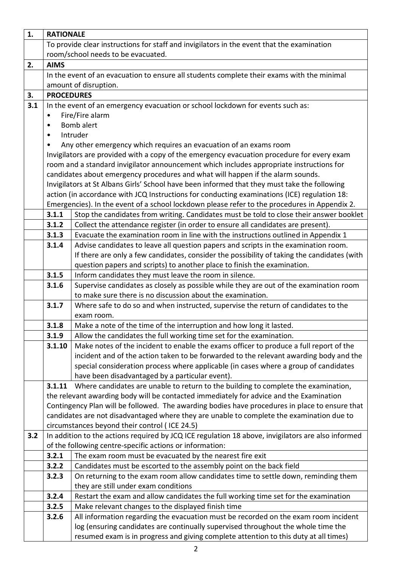| 1.  | <b>RATIONALE</b>  |                                                                                                                                                                        |
|-----|-------------------|------------------------------------------------------------------------------------------------------------------------------------------------------------------------|
|     |                   | To provide clear instructions for staff and invigilators in the event that the examination                                                                             |
|     |                   | room/school needs to be evacuated.                                                                                                                                     |
| 2.  | <b>AIMS</b>       |                                                                                                                                                                        |
|     |                   | In the event of an evacuation to ensure all students complete their exams with the minimal                                                                             |
|     |                   | amount of disruption.                                                                                                                                                  |
| 3.  | <b>PROCEDURES</b> |                                                                                                                                                                        |
| 3.1 |                   | In the event of an emergency evacuation or school lockdown for events such as:                                                                                         |
|     | ٠                 | Fire/Fire alarm                                                                                                                                                        |
|     | $\bullet$         | Bomb alert                                                                                                                                                             |
|     | $\bullet$         | Intruder                                                                                                                                                               |
|     | ٠                 | Any other emergency which requires an evacuation of an exams room                                                                                                      |
|     |                   | Invigilators are provided with a copy of the emergency evacuation procedure for every exam                                                                             |
|     |                   | room and a standard invigilator announcement which includes appropriate instructions for                                                                               |
|     |                   | candidates about emergency procedures and what will happen if the alarm sounds.                                                                                        |
|     |                   | Invigilators at St Albans Girls' School have been informed that they must take the following                                                                           |
|     |                   | action (in accordance with JCQ Instructions for conducting examinations (ICE) regulation 18:                                                                           |
|     | 3.1.1             | Emergencies). In the event of a school lockdown please refer to the procedures in Appendix 2.                                                                          |
|     | 3.1.2             | Stop the candidates from writing. Candidates must be told to close their answer booklet                                                                                |
|     | 3.1.3             | Collect the attendance register (in order to ensure all candidates are present).<br>Evacuate the examination room in line with the instructions outlined in Appendix 1 |
|     | 3.1.4             | Advise candidates to leave all question papers and scripts in the examination room.                                                                                    |
|     |                   | If there are only a few candidates, consider the possibility of taking the candidates (with                                                                            |
|     |                   | question papers and scripts) to another place to finish the examination.                                                                                               |
|     | 3.1.5             | Inform candidates they must leave the room in silence.                                                                                                                 |
|     | 3.1.6             | Supervise candidates as closely as possible while they are out of the examination room                                                                                 |
|     |                   | to make sure there is no discussion about the examination.                                                                                                             |
|     | 3.1.7             | Where safe to do so and when instructed, supervise the return of candidates to the                                                                                     |
|     |                   | exam room.                                                                                                                                                             |
|     | 3.1.8             | Make a note of the time of the interruption and how long it lasted.                                                                                                    |
|     | 3.1.9             | Allow the candidates the full working time set for the examination.                                                                                                    |
|     | 3.1.10            | Make notes of the incident to enable the exams officer to produce a full report of the                                                                                 |
|     |                   | incident and of the action taken to be forwarded to the relevant awarding body and the                                                                                 |
|     |                   | special consideration process where applicable (in cases where a group of candidates                                                                                   |
|     |                   | have been disadvantaged by a particular event).                                                                                                                        |
|     | 3.1.11            | Where candidates are unable to return to the building to complete the examination,                                                                                     |
|     |                   | the relevant awarding body will be contacted immediately for advice and the Examination                                                                                |
|     |                   | Contingency Plan will be followed. The awarding bodies have procedures in place to ensure that                                                                         |
|     |                   | candidates are not disadvantaged where they are unable to complete the examination due to                                                                              |
|     |                   | circumstances beyond their control (ICE 24.5)                                                                                                                          |
| 3.2 |                   | In addition to the actions required by JCQ ICE regulation 18 above, invigilators are also informed                                                                     |
|     |                   | of the following centre-specific actions or information:                                                                                                               |
|     | 3.2.1             | The exam room must be evacuated by the nearest fire exit                                                                                                               |
|     | 3.2.2             | Candidates must be escorted to the assembly point on the back field                                                                                                    |
|     | 3.2.3             | On returning to the exam room allow candidates time to settle down, reminding them                                                                                     |
|     |                   | they are still under exam conditions                                                                                                                                   |
|     | 3.2.4             | Restart the exam and allow candidates the full working time set for the examination                                                                                    |
|     | 3.2.5             | Make relevant changes to the displayed finish time                                                                                                                     |
|     | 3.2.6             | All information regarding the evacuation must be recorded on the exam room incident                                                                                    |
|     |                   | log (ensuring candidates are continually supervised throughout the whole time the                                                                                      |
|     |                   | resumed exam is in progress and giving complete attention to this duty at all times)                                                                                   |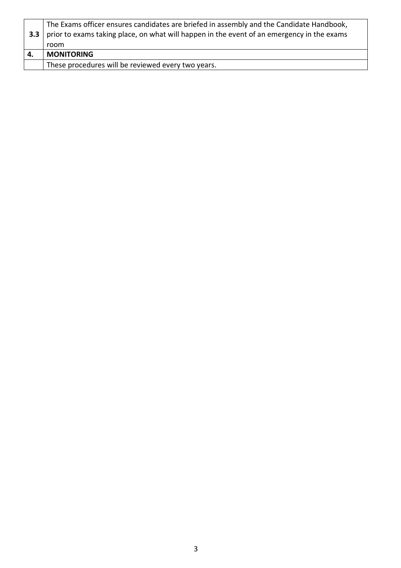|     | These procedures will be reviewed every two years.                                         |
|-----|--------------------------------------------------------------------------------------------|
|     | <b>MONITORING</b>                                                                          |
|     | room                                                                                       |
| 3.3 | prior to exams taking place, on what will happen in the event of an emergency in the exams |
|     | The Exams officer ensures candidates are briefed in assembly and the Candidate Handbook,   |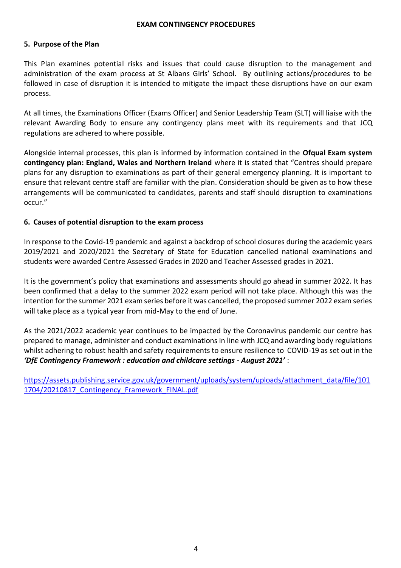#### **EXAM CONTINGENCY PROCEDURES**

#### **5. Purpose of the Plan**

This Plan examines potential risks and issues that could cause disruption to the management and administration of the exam process at St Albans Girls' School. By outlining actions/procedures to be followed in case of disruption it is intended to mitigate the impact these disruptions have on our exam process.

At all times, the Examinations Officer (Exams Officer) and Senior Leadership Team (SLT) will liaise with the relevant Awarding Body to ensure any contingency plans meet with its requirements and that JCQ regulations are adhered to where possible.

Alongside internal processes, this plan is informed by information contained in the **Ofqual Exam system contingency plan: England, Wales and Northern Ireland** where it is stated that "Centres should prepare plans for any disruption to examinations as part of their general emergency planning. It is important to ensure that relevant centre staff are familiar with the plan. Consideration should be given as to how these arrangements will be communicated to candidates, parents and staff should disruption to examinations occur."

#### **6. Causes of potential disruption to the exam process**

In response to the Covid-19 pandemic and against a backdrop of school closures during the academic years 2019/2021 and 2020/2021 the Secretary of State for Education cancelled national examinations and students were awarded Centre Assessed Grades in 2020 and Teacher Assessed grades in 2021.

It is the government's policy that examinations and assessments should go ahead in summer 2022. It has been confirmed that a delay to the summer 2022 exam period will not take place. Although this was the intention for the summer 2021 exam series before it was cancelled, the proposed summer 2022 exam series will take place as a typical year from mid-May to the end of June.

As the 2021/2022 academic year continues to be impacted by the Coronavirus pandemic our centre has prepared to manage, administer and conduct examinations in line with JCQ and awarding body regulations whilst adhering to robust health and safety requirements to ensure resilience to COVID-19 as set out in the *'DfE Contingency Framework : education and childcare settings - August 2021'* **:** 

[https://assets.publishing.service.gov.uk/government/uploads/system/uploads/attachment\\_data/file/101](https://assets.publishing.service.gov.uk/government/uploads/system/uploads/attachment_data/file/1011704/20210817_Contingency_Framework_FINAL.pdf) [1704/20210817\\_Contingency\\_Framework\\_FINAL.pdf](https://assets.publishing.service.gov.uk/government/uploads/system/uploads/attachment_data/file/1011704/20210817_Contingency_Framework_FINAL.pdf)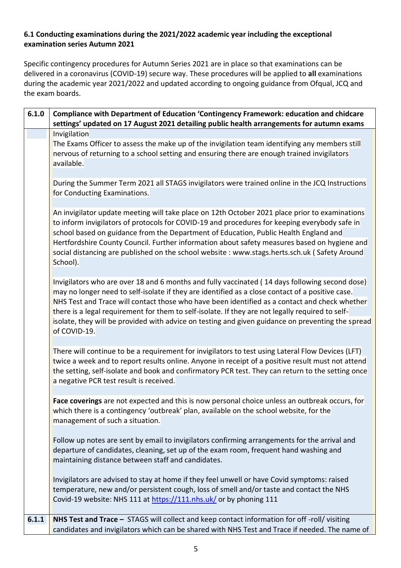# **6.1 Conducting examinations during the 2021/2022 academic year including the exceptional examination series Autumn 2021**

Specific contingency procedures for Autumn Series 2021 are in place so that examinations can be delivered in a coronavirus (COVID-19) secure way. These procedures will be applied to **all** examinations during the academic year 2021/2022 and updated according to ongoing guidance from Ofqual, JCQ and the exam boards.

| 6.1.0 | Compliance with Department of Education 'Contingency Framework: education and chidcare<br>settings' updated on 17 August 2021 detailing public health arrangements for autumn exams                                                                                                                                                                                                                                                                                                                                          |
|-------|------------------------------------------------------------------------------------------------------------------------------------------------------------------------------------------------------------------------------------------------------------------------------------------------------------------------------------------------------------------------------------------------------------------------------------------------------------------------------------------------------------------------------|
|       | Invigilation<br>The Exams Officer to assess the make up of the invigilation team identifying any members still<br>nervous of returning to a school setting and ensuring there are enough trained invigilators<br>available.                                                                                                                                                                                                                                                                                                  |
|       | During the Summer Term 2021 all STAGS invigilators were trained online in the JCQ Instructions<br>for Conducting Examinations.                                                                                                                                                                                                                                                                                                                                                                                               |
|       | An invigilator update meeting will take place on 12th October 2021 place prior to examinations<br>to inform invigilators of protocols for COVID-19 and procedures for keeping everybody safe in<br>school based on guidance from the Department of Education, Public Health England and<br>Hertfordshire County Council. Further information about safety measures based on hygiene and<br>social distancing are published on the school website: www.stags.herts.sch.uk (Safety Around<br>School).                          |
|       | Invigilators who are over 18 and 6 months and fully vaccinated (14 days following second dose)<br>may no longer need to self-isolate if they are identified as a close contact of a positive case.<br>NHS Test and Trace will contact those who have been identified as a contact and check whether<br>there is a legal requirement for them to self-isolate. If they are not legally required to self-<br>isolate, they will be provided with advice on testing and given guidance on preventing the spread<br>of COVID-19. |
|       | There will continue to be a requirement for invigilators to test using Lateral Flow Devices (LFT)<br>twice a week and to report results online. Anyone in receipt of a positive result must not attend<br>the setting, self-isolate and book and confirmatory PCR test. They can return to the setting once<br>a negative PCR test result is received.                                                                                                                                                                       |
|       | Face coverings are not expected and this is now personal choice unless an outbreak occurs, for<br>which there is a contingency 'outbreak' plan, available on the school website, for the<br>management of such a situation.                                                                                                                                                                                                                                                                                                  |
|       | Follow up notes are sent by email to invigilators confirming arrangements for the arrival and<br>departure of candidates, cleaning, set up of the exam room, frequent hand washing and<br>maintaining distance between staff and candidates.                                                                                                                                                                                                                                                                                 |
|       | Invigilators are advised to stay at home if they feel unwell or have Covid symptoms: raised<br>temperature, new and/or persistent cough, loss of smell and/or taste and contact the NHS<br>Covid-19 website: NHS 111 at https://111.nhs.uk/ or by phoning 111                                                                                                                                                                                                                                                                |
| 6.1.1 | NHS Test and Trace - STAGS will collect and keep contact information for off-roll/visiting<br>candidates and invigilators which can be shared with NHS Test and Trace if needed. The name of                                                                                                                                                                                                                                                                                                                                 |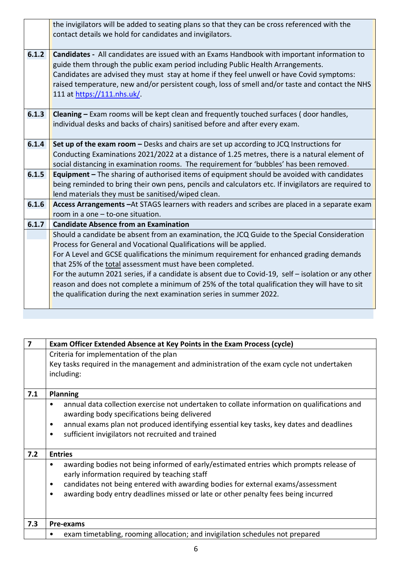|       | the invigilators will be added to seating plans so that they can be cross referenced with the<br>contact details we hold for candidates and invigilators.                                                                                                                                                                                                                                                            |
|-------|----------------------------------------------------------------------------------------------------------------------------------------------------------------------------------------------------------------------------------------------------------------------------------------------------------------------------------------------------------------------------------------------------------------------|
| 6.1.2 | <b>Candidates -</b> All candidates are issued with an Exams Handbook with important information to<br>guide them through the public exam period including Public Health Arrangements.<br>Candidates are advised they must stay at home if they feel unwell or have Covid symptoms:<br>raised temperature, new and/or persistent cough, loss of smell and/or taste and contact the NHS<br>111 at https://111.nhs.uk/. |
| 6.1.3 | Cleaning - Exam rooms will be kept clean and frequently touched surfaces (door handles,<br>individual desks and backs of chairs) sanitised before and after every exam.                                                                                                                                                                                                                                              |
| 6.1.4 | Set up of the exam room – Desks and chairs are set up according to JCQ Instructions for<br>Conducting Examinations 2021/2022 at a distance of 1.25 metres, there is a natural element of<br>social distancing in examination rooms. The requirement for 'bubbles' has been removed.                                                                                                                                  |
| 6.1.5 | <b>Equipment</b> - The sharing of authorised items of equipment should be avoided with candidates<br>being reminded to bring their own pens, pencils and calculators etc. If invigilators are required to<br>lend materials they must be sanitised/wiped clean.                                                                                                                                                      |
| 6.1.6 | Access Arrangements - At STAGS learners with readers and scribes are placed in a separate exam<br>room in a one $-$ to-one situation.                                                                                                                                                                                                                                                                                |
| 6.1.7 | <b>Candidate Absence from an Examination</b>                                                                                                                                                                                                                                                                                                                                                                         |
|       | Should a candidate be absent from an examination, the JCQ Guide to the Special Consideration                                                                                                                                                                                                                                                                                                                         |
|       | Process for General and Vocational Qualifications will be applied.                                                                                                                                                                                                                                                                                                                                                   |
|       | For A Level and GCSE qualifications the minimum requirement for enhanced grading demands                                                                                                                                                                                                                                                                                                                             |
|       | that 25% of the total assessment must have been completed.                                                                                                                                                                                                                                                                                                                                                           |
|       | For the autumn 2021 series, if a candidate is absent due to Covid-19, self - isolation or any other<br>reason and does not complete a minimum of 25% of the total qualification they will have to sit<br>the qualification during the next examination series in summer 2022.                                                                                                                                        |
|       |                                                                                                                                                                                                                                                                                                                                                                                                                      |

| 7   | Exam Officer Extended Absence at Key Points in the Exam Process (cycle)                              |
|-----|------------------------------------------------------------------------------------------------------|
|     | Criteria for implementation of the plan                                                              |
|     | Key tasks required in the management and administration of the exam cycle not undertaken             |
|     | including:                                                                                           |
|     |                                                                                                      |
| 7.1 | <b>Planning</b>                                                                                      |
|     | annual data collection exercise not undertaken to collate information on qualifications and<br>٠     |
|     | awarding body specifications being delivered                                                         |
|     | annual exams plan not produced identifying essential key tasks, key dates and deadlines<br>$\bullet$ |
|     | sufficient invigilators not recruited and trained<br>$\bullet$                                       |
|     |                                                                                                      |
| 7.2 | <b>Entries</b>                                                                                       |
|     | awarding bodies not being informed of early/estimated entries which prompts release of<br>٠          |
|     | early information required by teaching staff                                                         |
|     | candidates not being entered with awarding bodies for external exams/assessment<br>٠                 |
|     | awarding body entry deadlines missed or late or other penalty fees being incurred<br>$\bullet$       |
|     |                                                                                                      |
|     |                                                                                                      |
| 7.3 | Pre-exams                                                                                            |
|     | exam timetabling, rooming allocation; and invigilation schedules not prepared                        |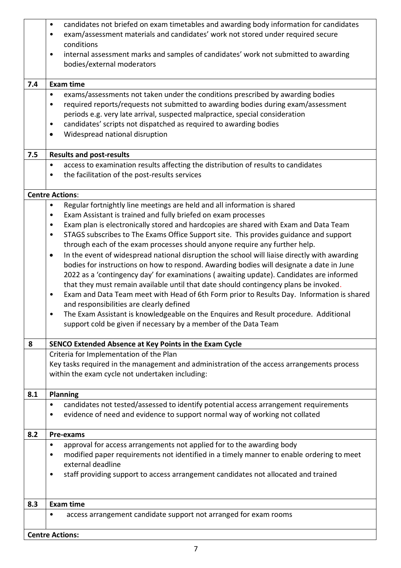|     | candidates not briefed on exam timetables and awarding body information for candidates<br>$\bullet$<br>exam/assessment materials and candidates' work not stored under required secure<br>٠ |
|-----|---------------------------------------------------------------------------------------------------------------------------------------------------------------------------------------------|
|     | conditions                                                                                                                                                                                  |
|     | internal assessment marks and samples of candidates' work not submitted to awarding<br>٠<br>bodies/external moderators                                                                      |
| 7.4 | <b>Exam time</b>                                                                                                                                                                            |
|     | exams/assessments not taken under the conditions prescribed by awarding bodies<br>$\bullet$                                                                                                 |
|     | required reports/requests not submitted to awarding bodies during exam/assessment<br>٠                                                                                                      |
|     | periods e.g. very late arrival, suspected malpractice, special consideration                                                                                                                |
|     | candidates' scripts not dispatched as required to awarding bodies<br>٠                                                                                                                      |
|     | Widespread national disruption<br>$\bullet$                                                                                                                                                 |
| 7.5 | <b>Results and post-results</b>                                                                                                                                                             |
|     | access to examination results affecting the distribution of results to candidates<br>٠                                                                                                      |
|     | the facilitation of the post-results services<br>٠                                                                                                                                          |
|     | <b>Centre Actions:</b>                                                                                                                                                                      |
|     | Regular fortnightly line meetings are held and all information is shared<br>$\bullet$                                                                                                       |
|     | Exam Assistant is trained and fully briefed on exam processes<br>٠                                                                                                                          |
|     | Exam plan is electronically stored and hardcopies are shared with Exam and Data Team<br>٠<br>$\bullet$                                                                                      |
|     | STAGS subscribes to The Exams Office Support site. This provides guidance and support<br>through each of the exam processes should anyone require any further help.                         |
|     | In the event of widespread national disruption the school will liaise directly with awarding<br>$\bullet$                                                                                   |
|     | bodies for instructions on how to respond. Awarding bodies will designate a date in June                                                                                                    |
|     | 2022 as a 'contingency day' for examinations (awaiting update). Candidates are informed                                                                                                     |
|     | that they must remain available until that date should contingency plans be invoked.                                                                                                        |
|     | Exam and Data Team meet with Head of 6th Form prior to Results Day. Information is shared<br>٠                                                                                              |
|     | and responsibilities are clearly defined                                                                                                                                                    |
|     | The Exam Assistant is knowledgeable on the Enquires and Result procedure. Additional<br>support cold be given if necessary by a member of the Data Team                                     |
| 8   | SENCO Extended Absence at Key Points in the Exam Cycle                                                                                                                                      |
|     | Criteria for Implementation of the Plan                                                                                                                                                     |
|     | Key tasks required in the management and administration of the access arrangements process                                                                                                  |
|     | within the exam cycle not undertaken including:                                                                                                                                             |
| 8.1 | <b>Planning</b>                                                                                                                                                                             |
|     | candidates not tested/assessed to identify potential access arrangement requirements<br>٠                                                                                                   |
|     | evidence of need and evidence to support normal way of working not collated                                                                                                                 |
| 8.2 | Pre-exams                                                                                                                                                                                   |
|     | approval for access arrangements not applied for to the awarding body<br>$\bullet$                                                                                                          |
|     | modified paper requirements not identified in a timely manner to enable ordering to meet                                                                                                    |
|     | external deadline                                                                                                                                                                           |
|     | staff providing support to access arrangement candidates not allocated and trained<br>٠                                                                                                     |
| 8.3 | <b>Exam time</b>                                                                                                                                                                            |
|     | access arrangement candidate support not arranged for exam rooms<br>٠                                                                                                                       |
|     |                                                                                                                                                                                             |
|     | <b>Centre Actions:</b>                                                                                                                                                                      |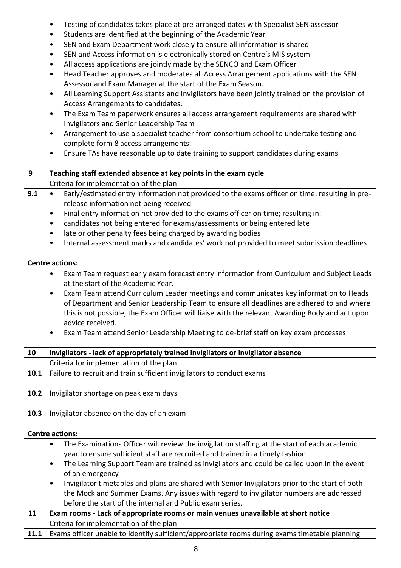|      | Testing of candidates takes place at pre-arranged dates with Specialist SEN assessor<br>٠                                                                                              |
|------|----------------------------------------------------------------------------------------------------------------------------------------------------------------------------------------|
|      | Students are identified at the beginning of the Academic Year<br>$\bullet$                                                                                                             |
|      | SEN and Exam Department work closely to ensure all information is shared<br>$\bullet$                                                                                                  |
|      | SEN and Access information is electronically stored on Centre's MIS system<br>$\bullet$                                                                                                |
|      | All access applications are jointly made by the SENCO and Exam Officer<br>٠                                                                                                            |
|      | Head Teacher approves and moderates all Access Arrangement applications with the SEN<br>$\bullet$                                                                                      |
|      | Assessor and Exam Manager at the start of the Exam Season.                                                                                                                             |
|      | All Learning Support Assistants and Invigilators have been jointly trained on the provision of<br>$\bullet$                                                                            |
|      | Access Arrangements to candidates.<br>The Exam Team paperwork ensures all access arrangement requirements are shared with<br>٠                                                         |
|      | Invigilators and Senior Leadership Team                                                                                                                                                |
|      | Arrangement to use a specialist teacher from consortium school to undertake testing and<br>$\bullet$                                                                                   |
|      | complete form 8 access arrangements.                                                                                                                                                   |
|      | Ensure TAs have reasonable up to date training to support candidates during exams<br>٠                                                                                                 |
|      |                                                                                                                                                                                        |
| 9    | Teaching staff extended absence at key points in the exam cycle                                                                                                                        |
|      | Criteria for implementation of the plan                                                                                                                                                |
| 9.1  | Early/estimated entry information not provided to the exams officer on time; resulting in pre-<br>$\bullet$                                                                            |
|      | release information not being received                                                                                                                                                 |
|      | Final entry information not provided to the exams officer on time; resulting in:<br>$\bullet$<br>candidates not being entered for exams/assessments or being entered late<br>$\bullet$ |
|      | late or other penalty fees being charged by awarding bodies<br>$\bullet$                                                                                                               |
|      | Internal assessment marks and candidates' work not provided to meet submission deadlines<br>۰                                                                                          |
|      |                                                                                                                                                                                        |
|      | <b>Centre actions:</b>                                                                                                                                                                 |
|      | Exam Team request early exam forecast entry information from Curriculum and Subject Leads<br>٠                                                                                         |
|      | at the start of the Academic Year.                                                                                                                                                     |
|      | Exam Team attend Curriculum Leader meetings and communicates key information to Heads<br>$\bullet$                                                                                     |
|      | of Department and Senior Leadership Team to ensure all deadlines are adhered to and where                                                                                              |
|      | this is not possible, the Exam Officer will liaise with the relevant Awarding Body and act upon<br>advice received.                                                                    |
|      | Exam Team attend Senior Leadership Meeting to de-brief staff on key exam processes                                                                                                     |
|      |                                                                                                                                                                                        |
| 10   | Invigilators - lack of appropriately trained invigilators or invigilator absence                                                                                                       |
|      | Criteria for implementation of the plan                                                                                                                                                |
| 10.1 | Failure to recruit and train sufficient invigilators to conduct exams                                                                                                                  |
|      |                                                                                                                                                                                        |
| 10.2 | Invigilator shortage on peak exam days                                                                                                                                                 |
| 10.3 | Invigilator absence on the day of an exam                                                                                                                                              |
|      |                                                                                                                                                                                        |
|      | <b>Centre actions:</b>                                                                                                                                                                 |
|      | The Examinations Officer will review the invigilation staffing at the start of each academic<br>$\bullet$                                                                              |
|      | year to ensure sufficient staff are recruited and trained in a timely fashion.                                                                                                         |
|      | The Learning Support Team are trained as invigilators and could be called upon in the event<br>٠<br>of an emergency                                                                    |
|      | Invigilator timetables and plans are shared with Senior Invigilators prior to the start of both<br>$\bullet$                                                                           |
|      | the Mock and Summer Exams. Any issues with regard to invigilator numbers are addressed                                                                                                 |
|      | before the start of the internal and Public exam series.                                                                                                                               |
| 11   | Exam rooms - Lack of appropriate rooms or main venues unavailable at short notice                                                                                                      |
|      | Criteria for implementation of the plan                                                                                                                                                |
| 11.1 | Exams officer unable to identify sufficient/appropriate rooms during exams timetable planning                                                                                          |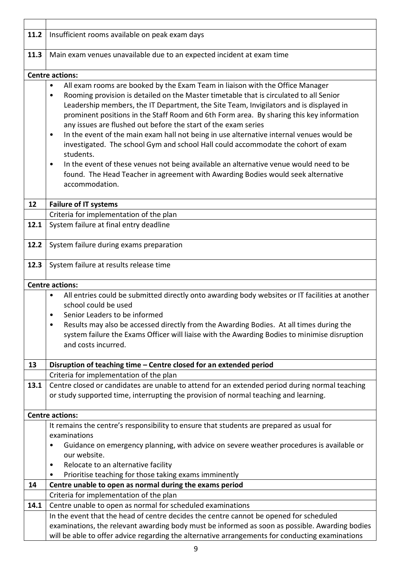| 11.2 | Insufficient rooms available on peak exam days                                                                                                                                                                                                                                                                                                                                                                                                                                                                                                                                                                                                                                                                                                                                                                                                                            |  |  |
|------|---------------------------------------------------------------------------------------------------------------------------------------------------------------------------------------------------------------------------------------------------------------------------------------------------------------------------------------------------------------------------------------------------------------------------------------------------------------------------------------------------------------------------------------------------------------------------------------------------------------------------------------------------------------------------------------------------------------------------------------------------------------------------------------------------------------------------------------------------------------------------|--|--|
| 11.3 | Main exam venues unavailable due to an expected incident at exam time                                                                                                                                                                                                                                                                                                                                                                                                                                                                                                                                                                                                                                                                                                                                                                                                     |  |  |
|      |                                                                                                                                                                                                                                                                                                                                                                                                                                                                                                                                                                                                                                                                                                                                                                                                                                                                           |  |  |
|      | <b>Centre actions:</b>                                                                                                                                                                                                                                                                                                                                                                                                                                                                                                                                                                                                                                                                                                                                                                                                                                                    |  |  |
|      | All exam rooms are booked by the Exam Team in liaison with the Office Manager<br>$\bullet$<br>Rooming provision is detailed on the Master timetable that is circulated to all Senior<br>٠<br>Leadership members, the IT Department, the Site Team, Invigilators and is displayed in<br>prominent positions in the Staff Room and 6th Form area. By sharing this key information<br>any issues are flushed out before the start of the exam series<br>In the event of the main exam hall not being in use alternative internal venues would be<br>$\bullet$<br>investigated. The school Gym and school Hall could accommodate the cohort of exam<br>students.<br>In the event of these venues not being available an alternative venue would need to be<br>$\bullet$<br>found. The Head Teacher in agreement with Awarding Bodies would seek alternative<br>accommodation. |  |  |
|      |                                                                                                                                                                                                                                                                                                                                                                                                                                                                                                                                                                                                                                                                                                                                                                                                                                                                           |  |  |
| 12   | <b>Failure of IT systems</b>                                                                                                                                                                                                                                                                                                                                                                                                                                                                                                                                                                                                                                                                                                                                                                                                                                              |  |  |
|      | Criteria for implementation of the plan                                                                                                                                                                                                                                                                                                                                                                                                                                                                                                                                                                                                                                                                                                                                                                                                                                   |  |  |
| 12.1 | System failure at final entry deadline                                                                                                                                                                                                                                                                                                                                                                                                                                                                                                                                                                                                                                                                                                                                                                                                                                    |  |  |
| 12.2 | System failure during exams preparation                                                                                                                                                                                                                                                                                                                                                                                                                                                                                                                                                                                                                                                                                                                                                                                                                                   |  |  |
| 12.3 | System failure at results release time                                                                                                                                                                                                                                                                                                                                                                                                                                                                                                                                                                                                                                                                                                                                                                                                                                    |  |  |
|      | <b>Centre actions:</b>                                                                                                                                                                                                                                                                                                                                                                                                                                                                                                                                                                                                                                                                                                                                                                                                                                                    |  |  |
|      | All entries could be submitted directly onto awarding body websites or IT facilities at another<br>$\bullet$<br>school could be used<br>Senior Leaders to be informed<br>Results may also be accessed directly from the Awarding Bodies. At all times during the<br>system failure the Exams Officer will liaise with the Awarding Bodies to minimise disruption<br>and costs incurred.                                                                                                                                                                                                                                                                                                                                                                                                                                                                                   |  |  |
| 13   | Disruption of teaching time - Centre closed for an extended period                                                                                                                                                                                                                                                                                                                                                                                                                                                                                                                                                                                                                                                                                                                                                                                                        |  |  |
|      | Criteria for implementation of the plan                                                                                                                                                                                                                                                                                                                                                                                                                                                                                                                                                                                                                                                                                                                                                                                                                                   |  |  |
| 13.1 | Centre closed or candidates are unable to attend for an extended period during normal teaching<br>or study supported time, interrupting the provision of normal teaching and learning.                                                                                                                                                                                                                                                                                                                                                                                                                                                                                                                                                                                                                                                                                    |  |  |
|      | <b>Centre actions:</b>                                                                                                                                                                                                                                                                                                                                                                                                                                                                                                                                                                                                                                                                                                                                                                                                                                                    |  |  |
|      | It remains the centre's responsibility to ensure that students are prepared as usual for<br>examinations<br>Guidance on emergency planning, with advice on severe weather procedures is available or<br>$\bullet$<br>our website.<br>Relocate to an alternative facility<br>$\bullet$<br>Prioritise teaching for those taking exams imminently                                                                                                                                                                                                                                                                                                                                                                                                                                                                                                                            |  |  |
| 14   | Centre unable to open as normal during the exams period                                                                                                                                                                                                                                                                                                                                                                                                                                                                                                                                                                                                                                                                                                                                                                                                                   |  |  |
|      | Criteria for implementation of the plan                                                                                                                                                                                                                                                                                                                                                                                                                                                                                                                                                                                                                                                                                                                                                                                                                                   |  |  |
| 14.1 | Centre unable to open as normal for scheduled examinations                                                                                                                                                                                                                                                                                                                                                                                                                                                                                                                                                                                                                                                                                                                                                                                                                |  |  |
|      | In the event that the head of centre decides the centre cannot be opened for scheduled<br>examinations, the relevant awarding body must be informed as soon as possible. Awarding bodies<br>will be able to offer advice regarding the alternative arrangements for conducting examinations                                                                                                                                                                                                                                                                                                                                                                                                                                                                                                                                                                               |  |  |

 $\mathbf{r}$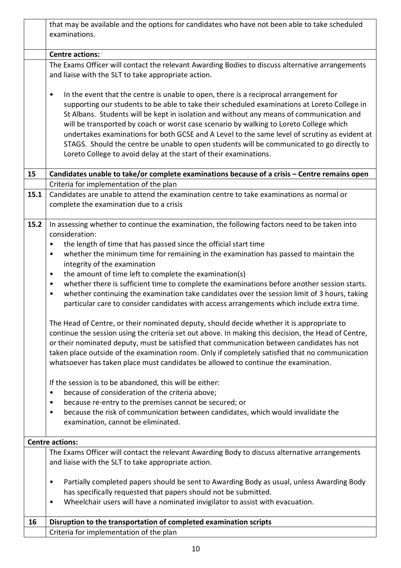|      | that may be available and the options for candidates who have not been able to take scheduled<br>examinations.                                                                                                                                                                                                                                                                                                                                                                                                                                                                                                                                                                                                                                                                                                                                                                                                                                                                                                                                                                                                                                                                                                                                                                                                                                                                                                                                                                                                                                          |
|------|---------------------------------------------------------------------------------------------------------------------------------------------------------------------------------------------------------------------------------------------------------------------------------------------------------------------------------------------------------------------------------------------------------------------------------------------------------------------------------------------------------------------------------------------------------------------------------------------------------------------------------------------------------------------------------------------------------------------------------------------------------------------------------------------------------------------------------------------------------------------------------------------------------------------------------------------------------------------------------------------------------------------------------------------------------------------------------------------------------------------------------------------------------------------------------------------------------------------------------------------------------------------------------------------------------------------------------------------------------------------------------------------------------------------------------------------------------------------------------------------------------------------------------------------------------|
|      | <b>Centre actions:</b>                                                                                                                                                                                                                                                                                                                                                                                                                                                                                                                                                                                                                                                                                                                                                                                                                                                                                                                                                                                                                                                                                                                                                                                                                                                                                                                                                                                                                                                                                                                                  |
|      | The Exams Officer will contact the relevant Awarding Bodies to discuss alternative arrangements<br>and liaise with the SLT to take appropriate action.                                                                                                                                                                                                                                                                                                                                                                                                                                                                                                                                                                                                                                                                                                                                                                                                                                                                                                                                                                                                                                                                                                                                                                                                                                                                                                                                                                                                  |
|      | In the event that the centre is unable to open, there is a reciprocal arrangement for<br>٠<br>supporting our students to be able to take their scheduled examinations at Loreto College in<br>St Albans. Students will be kept in isolation and without any means of communication and<br>will be transported by coach or worst case scenario by walking to Loreto College which<br>undertakes examinations for both GCSE and A Level to the same level of scrutiny as evident at<br>STAGS. Should the centre be unable to open students will be communicated to go directly to<br>Loreto College to avoid delay at the start of their examinations.                                                                                                                                                                                                                                                                                                                                                                                                                                                                                                                                                                                                                                                                                                                                                                                                                                                                                                    |
| 15   | Candidates unable to take/or complete examinations because of a crisis - Centre remains open                                                                                                                                                                                                                                                                                                                                                                                                                                                                                                                                                                                                                                                                                                                                                                                                                                                                                                                                                                                                                                                                                                                                                                                                                                                                                                                                                                                                                                                            |
| 15.1 | Criteria for implementation of the plan<br>Candidates are unable to attend the examination centre to take examinations as normal or<br>complete the examination due to a crisis                                                                                                                                                                                                                                                                                                                                                                                                                                                                                                                                                                                                                                                                                                                                                                                                                                                                                                                                                                                                                                                                                                                                                                                                                                                                                                                                                                         |
| 15.2 | In assessing whether to continue the examination, the following factors need to be taken into<br>consideration:<br>the length of time that has passed since the official start time<br>$\bullet$<br>whether the minimum time for remaining in the examination has passed to maintain the<br>$\bullet$<br>integrity of the examination<br>the amount of time left to complete the examination(s)<br>$\bullet$<br>whether there is sufficient time to complete the examinations before another session starts.<br>$\bullet$<br>whether continuing the examination take candidates over the session limit of 3 hours, taking<br>$\bullet$<br>particular care to consider candidates with access arrangements which include extra time.<br>The Head of Centre, or their nominated deputy, should decide whether it is appropriate to<br>continue the session using the criteria set out above. In making this decision, the Head of Centre,<br>or their nominated deputy, must be satisfied that communication between candidates has not<br>taken place outside of the examination room. Only if completely satisfied that no communication<br>whatsoever has taken place must candidates be allowed to continue the examination.<br>If the session is to be abandoned, this will be either:<br>because of consideration of the criteria above;<br>٠<br>because re-entry to the premises cannot be secured; or<br>$\bullet$<br>because the risk of communication between candidates, which would invalidate the<br>٠<br>examination, cannot be eliminated. |
|      | <b>Centre actions:</b>                                                                                                                                                                                                                                                                                                                                                                                                                                                                                                                                                                                                                                                                                                                                                                                                                                                                                                                                                                                                                                                                                                                                                                                                                                                                                                                                                                                                                                                                                                                                  |
|      | The Exams Officer will contact the relevant Awarding Body to discuss alternative arrangements<br>and liaise with the SLT to take appropriate action.                                                                                                                                                                                                                                                                                                                                                                                                                                                                                                                                                                                                                                                                                                                                                                                                                                                                                                                                                                                                                                                                                                                                                                                                                                                                                                                                                                                                    |
|      | Partially completed papers should be sent to Awarding Body as usual, unless Awarding Body<br>$\bullet$<br>has specifically requested that papers should not be submitted.<br>Wheelchair users will have a nominated invigilator to assist with evacuation.<br>٠                                                                                                                                                                                                                                                                                                                                                                                                                                                                                                                                                                                                                                                                                                                                                                                                                                                                                                                                                                                                                                                                                                                                                                                                                                                                                         |
| 16   | Disruption to the transportation of completed examination scripts<br>Criteria for implementation of the plan                                                                                                                                                                                                                                                                                                                                                                                                                                                                                                                                                                                                                                                                                                                                                                                                                                                                                                                                                                                                                                                                                                                                                                                                                                                                                                                                                                                                                                            |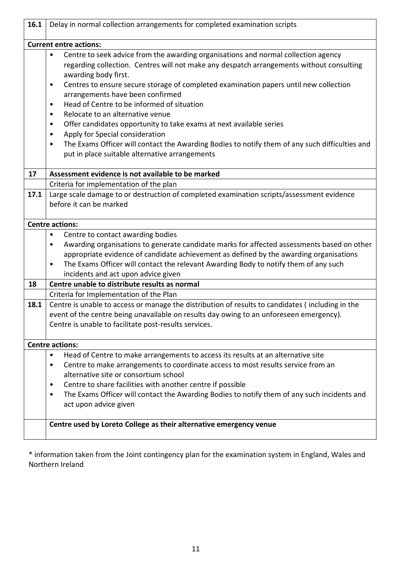| 16.1 | Delay in normal collection arrangements for completed examination scripts                                   |  |  |
|------|-------------------------------------------------------------------------------------------------------------|--|--|
|      | <b>Current entre actions:</b>                                                                               |  |  |
|      | Centre to seek advice from the awarding organisations and normal collection agency<br>$\bullet$             |  |  |
|      | regarding collection. Centres will not make any despatch arrangements without consulting                    |  |  |
|      | awarding body first.                                                                                        |  |  |
|      | Centres to ensure secure storage of completed examination papers until new collection<br>٠                  |  |  |
|      | arrangements have been confirmed                                                                            |  |  |
|      | Head of Centre to be informed of situation<br>٠                                                             |  |  |
|      | Relocate to an alternative venue<br>٠                                                                       |  |  |
|      | Offer candidates opportunity to take exams at next available series<br>٠                                    |  |  |
|      | Apply for Special consideration<br>$\bullet$                                                                |  |  |
|      | The Exams Officer will contact the Awarding Bodies to notify them of any such difficulties and<br>$\bullet$ |  |  |
|      | put in place suitable alternative arrangements                                                              |  |  |
|      |                                                                                                             |  |  |
| 17   | Assessment evidence is not available to be marked                                                           |  |  |
|      | Criteria for implementation of the plan                                                                     |  |  |
| 17.1 | Large scale damage to or destruction of completed examination scripts/assessment evidence                   |  |  |
|      | before it can be marked                                                                                     |  |  |
|      |                                                                                                             |  |  |
|      | <b>Centre actions:</b>                                                                                      |  |  |
|      | Centre to contact awarding bodies<br>٠                                                                      |  |  |
|      | Awarding organisations to generate candidate marks for affected assessments based on other<br>٠             |  |  |
|      | appropriate evidence of candidate achievement as defined by the awarding organisations                      |  |  |
|      | The Exams Officer will contact the relevant Awarding Body to notify them of any such<br>$\bullet$           |  |  |
|      | incidents and act upon advice given                                                                         |  |  |
| 18   | Centre unable to distribute results as normal                                                               |  |  |
|      | Criteria for Implementation of the Plan                                                                     |  |  |
| 18.1 | Centre is unable to access or manage the distribution of results to candidates (including in the            |  |  |
|      | event of the centre being unavailable on results day owing to an unforeseen emergency).                     |  |  |
|      | Centre is unable to facilitate post-results services.                                                       |  |  |
|      | <b>Centre actions:</b>                                                                                      |  |  |
|      | Head of Centre to make arrangements to access its results at an alternative site<br>$\bullet$               |  |  |
|      | Centre to make arrangements to coordinate access to most results service from an<br>٠                       |  |  |
|      | alternative site or consortium school                                                                       |  |  |
|      | Centre to share facilities with another centre if possible<br>٠                                             |  |  |
|      | The Exams Officer will contact the Awarding Bodies to notify them of any such incidents and<br>٠            |  |  |
|      | act upon advice given                                                                                       |  |  |
|      |                                                                                                             |  |  |
|      | Centre used by Loreto College as their alternative emergency venue                                          |  |  |
|      |                                                                                                             |  |  |
|      |                                                                                                             |  |  |

\* information taken from the Joint contingency plan for the examination system in England, Wales and Northern Ireland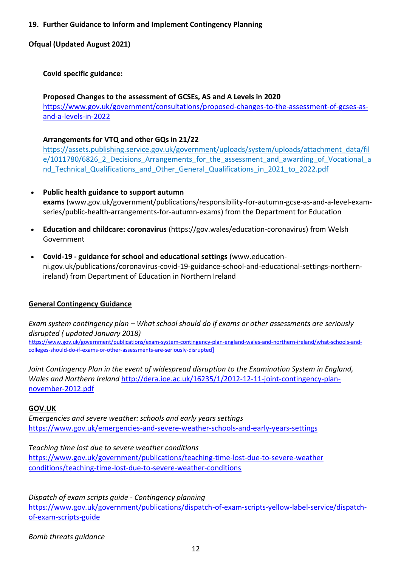# **19. Further Guidance to Inform and Implement Contingency Planning**

## **Ofqual (Updated August 2021)**

# **Covid specific guidance:**

**Proposed Changes to the assessment of GCSEs, AS and A Levels in 2020**  [https://www.gov.uk/government/consultations/proposed-changes-to-the-assessment-of-gcses-as](https://www.gov.uk/government/consultations/proposed-changes-to-the-assessment-of-gcses-as-and-a-levels-in-2022)[and-a-levels-in-2022](https://www.gov.uk/government/consultations/proposed-changes-to-the-assessment-of-gcses-as-and-a-levels-in-2022)

## **Arrangements for VTQ and other GQs in 21/22**

https://assets.publishing.service.gov.uk/government/uploads/system/uploads/attachment\_data/fil e/1011780/6826 2 Decisions Arrangements for the assessment and awarding of Vocational a nd Technical Qualifications and Other General Qualifications in 2021 to 2022.pdf

- **Public health guidance to support autumn exams** (www.gov.uk/government/publications/responsibility-for-autumn-gcse-as-and-a-level-examseries/public-health-arrangements-for-autumn-exams) from the Department for Education
- **Education and childcare: coronavirus** (https://gov.wales/education-coronavirus) from Welsh Government
- **Covid-19 - guidance for school and educational settings** (www.educationni.gov.uk/publications/coronavirus-covid-19-guidance-school-and-educational-settings-northernireland) from Department of Education in Northern Ireland

#### **General Contingency Guidance**

*Exam system contingency plan – What school should do if exams or other assessments are seriously disrupted ( updated January 2018)*

[https://www.gov.uk/government/publications/exam-system-contingency-plan-england-wales-and-northern-ireland/what-schools-and](https://www.gov.uk/government/publications/exam-system-contingency-plan-england-wales-and-northern-ireland/what-schools-and-colleges-should-do-if-exams-or-other-assessments-are-seriously-disrupted)[colleges-should-do-if-exams-or-other-assessments-are-seriously-disrupted](https://www.gov.uk/government/publications/exam-system-contingency-plan-england-wales-and-northern-ireland/what-schools-and-colleges-should-do-if-exams-or-other-assessments-are-seriously-disrupted)]

*Joint Contingency Plan in the event of widespread disruption to the Examination System in England, Wales and Northern Ireland* [http://dera.ioe.ac.uk/16235/1/2012-12-11-joint-contingency-plan](http://dera.ioe.ac.uk/16235/1/2012-12-11-joint-contingency-plan-november-2012.pdf)[november-2012.pdf](http://dera.ioe.ac.uk/16235/1/2012-12-11-joint-contingency-plan-november-2012.pdf)

#### **GOV.UK**

*Emergencies and severe weather: schools and early years settings* <https://www.gov.uk/emergencies-and-severe-weather-schools-and-early-years-settings>

*Teaching time lost due to severe weather conditions* [https://www.gov.uk/government/publications/teaching-time-lost-due-to-severe-weather](https://www.gov.uk/government/publications/teaching-time-lost-due-to-severe-weather%20conditions/teaching-time-lost-due-to-severe-weather-conditions)  [conditions/teaching-time-lost-due-to-severe-weather-conditions](https://www.gov.uk/government/publications/teaching-time-lost-due-to-severe-weather%20conditions/teaching-time-lost-due-to-severe-weather-conditions)

*Dispatch of exam scripts guide - Contingency planning* [https://www.gov.uk/government/publications/dispatch-of-exam-scripts-yellow-label-service/dispatch](https://www.gov.uk/government/publications/dispatch-of-exam-scripts-yellow-label-service/dispatch-of-exam-scripts-guide)[of-exam-scripts-guide](https://www.gov.uk/government/publications/dispatch-of-exam-scripts-yellow-label-service/dispatch-of-exam-scripts-guide)

*Bomb threats guidance*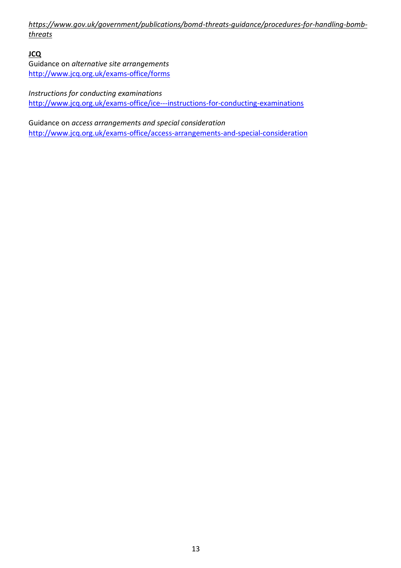*[https://www.gov.uk/government/publications/bomd-threats-guidance/procedures-](https://www.gov.uk/government/publications/bomd-threats-guidance/procedures)for-handling-bombthreats*

**JCQ**

Guidance on *alternative site arrangements* <http://www.jcq.org.uk/exams-office/forms>

*Instructions for conducting examinations* <http://www.jcq.org.uk/exams-office/ice---instructions-for-conducting-examinations>

Guidance on *access arrangements and special consideration* <http://www.jcq.org.uk/exams-office/access-arrangements-and-special-consideration>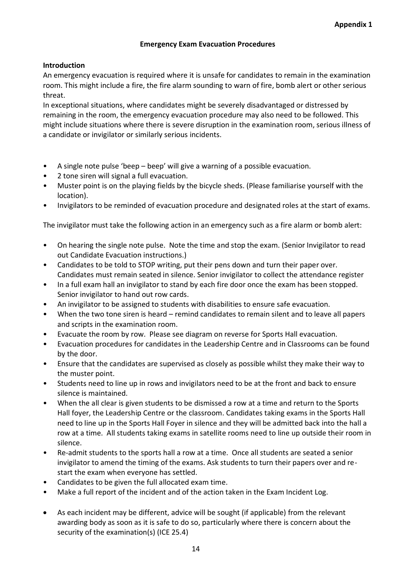# **Emergency Exam Evacuation Procedures**

# **Introduction**

An emergency evacuation is required where it is unsafe for candidates to remain in the examination room. This might include a fire, the fire alarm sounding to warn of fire, bomb alert or other serious threat.

In exceptional situations, where candidates might be severely disadvantaged or distressed by remaining in the room, the emergency evacuation procedure may also need to be followed. This might include situations where there is severe disruption in the examination room, serious illness of a candidate or invigilator or similarly serious incidents.

- A single note pulse 'beep beep' will give a warning of a possible evacuation.
- 2 tone siren will signal a full evacuation.
- Muster point is on the playing fields by the bicycle sheds. (Please familiarise yourself with the location).
- Invigilators to be reminded of evacuation procedure and designated roles at the start of exams.

The invigilator must take the following action in an emergency such as a fire alarm or bomb alert:

- On hearing the single note pulse. Note the time and stop the exam. (Senior Invigilator to read out Candidate Evacuation instructions.)
- Candidates to be told to STOP writing, put their pens down and turn their paper over. Candidates must remain seated in silence. Senior invigilator to collect the attendance register
- In a full exam hall an invigilator to stand by each fire door once the exam has been stopped. Senior invigilator to hand out row cards.
- An invigilator to be assigned to students with disabilities to ensure safe evacuation.
- When the two tone siren is heard remind candidates to remain silent and to leave all papers and scripts in the examination room.
- Evacuate the room by row. Please see diagram on reverse for Sports Hall evacuation.
- Evacuation procedures for candidates in the Leadership Centre and in Classrooms can be found by the door.
- Ensure that the candidates are supervised as closely as possible whilst they make their way to the muster point.
- Students need to line up in rows and invigilators need to be at the front and back to ensure silence is maintained.
- When the all clear is given students to be dismissed a row at a time and return to the Sports Hall foyer, the Leadership Centre or the classroom. Candidates taking exams in the Sports Hall need to line up in the Sports Hall Foyer in silence and they will be admitted back into the hall a row at a time. All students taking exams in satellite rooms need to line up outside their room in silence.
- Re-admit students to the sports hall a row at a time. Once all students are seated a senior invigilator to amend the timing of the exams. Ask students to turn their papers over and restart the exam when everyone has settled.
- Candidates to be given the full allocated exam time.
- Make a full report of the incident and of the action taken in the Exam Incident Log.
- As each incident may be different, advice will be sought (if applicable) from the relevant awarding body as soon as it is safe to do so, particularly where there is concern about the security of the examination(s) (ICE 25.4)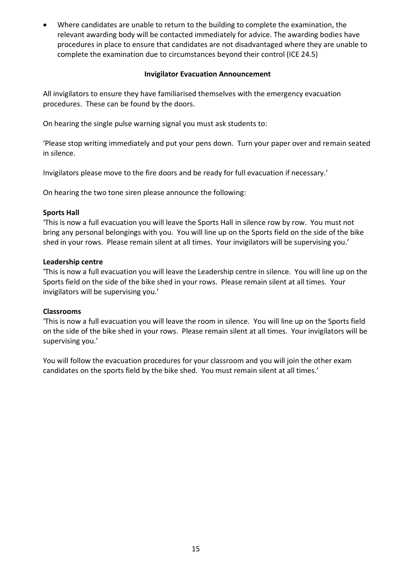Where candidates are unable to return to the building to complete the examination, the relevant awarding body will be contacted immediately for advice. The awarding bodies have procedures in place to ensure that candidates are not disadvantaged where they are unable to complete the examination due to circumstances beyond their control (ICE 24.5)

### **Invigilator Evacuation Announcement**

All invigilators to ensure they have familiarised themselves with the emergency evacuation procedures. These can be found by the doors.

On hearing the single pulse warning signal you must ask students to:

'Please stop writing immediately and put your pens down. Turn your paper over and remain seated in silence.

Invigilators please move to the fire doors and be ready for full evacuation if necessary.'

On hearing the two tone siren please announce the following:

## **Sports Hall**

'This is now a full evacuation you will leave the Sports Hall in silence row by row. You must not bring any personal belongings with you. You will line up on the Sports field on the side of the bike shed in your rows. Please remain silent at all times. Your invigilators will be supervising you.'

#### **Leadership centre**

'This is now a full evacuation you will leave the Leadership centre in silence. You will line up on the Sports field on the side of the bike shed in your rows. Please remain silent at all times. Your invigilators will be supervising you.'

#### **Classrooms**

'This is now a full evacuation you will leave the room in silence. You will line up on the Sports field on the side of the bike shed in your rows. Please remain silent at all times. Your invigilators will be supervising you.'

You will follow the evacuation procedures for your classroom and you will join the other exam candidates on the sports field by the bike shed. You must remain silent at all times.'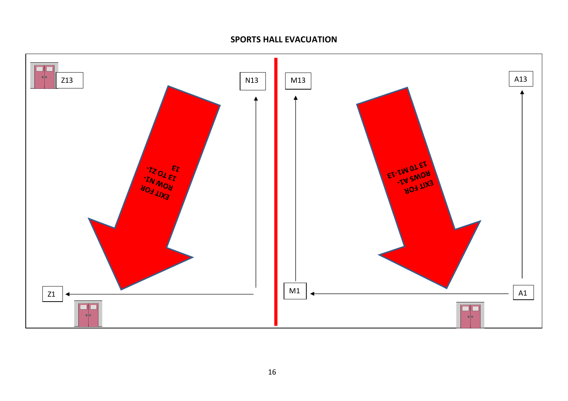# **SPORTS HALL EVACUATION**

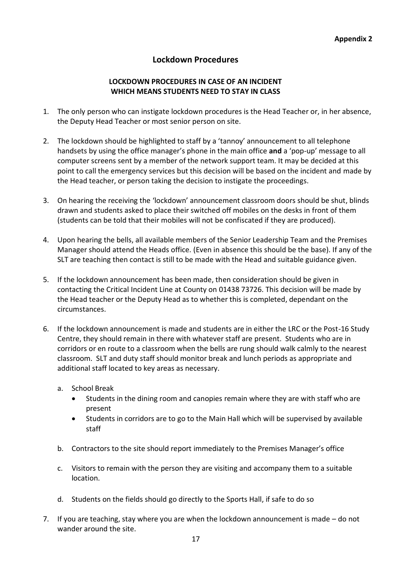# **Lockdown Procedures**

# **LOCKDOWN PROCEDURES IN CASE OF AN INCIDENT WHICH MEANS STUDENTS NEED TO STAY IN CLASS**

- 1. The only person who can instigate lockdown procedures is the Head Teacher or, in her absence, the Deputy Head Teacher or most senior person on site.
- 2. The lockdown should be highlighted to staff by a 'tannoy' announcement to all telephone handsets by using the office manager's phone in the main office **and** a 'pop-up' message to all computer screens sent by a member of the network support team. It may be decided at this point to call the emergency services but this decision will be based on the incident and made by the Head teacher, or person taking the decision to instigate the proceedings.
- 3. On hearing the receiving the 'lockdown' announcement classroom doors should be shut, blinds drawn and students asked to place their switched off mobiles on the desks in front of them (students can be told that their mobiles will not be confiscated if they are produced).
- 4. Upon hearing the bells, all available members of the Senior Leadership Team and the Premises Manager should attend the Heads office. (Even in absence this should be the base). If any of the SLT are teaching then contact is still to be made with the Head and suitable guidance given.
- 5. If the lockdown announcement has been made, then consideration should be given in contacting the Critical Incident Line at County on 01438 73726. This decision will be made by the Head teacher or the Deputy Head as to whether this is completed, dependant on the circumstances.
- 6. If the lockdown announcement is made and students are in either the LRC or the Post-16 Study Centre, they should remain in there with whatever staff are present. Students who are in corridors or en route to a classroom when the bells are rung should walk calmly to the nearest classroom. SLT and duty staff should monitor break and lunch periods as appropriate and additional staff located to key areas as necessary.
	- a. School Break
		- Students in the dining room and canopies remain where they are with staff who are present
		- Students in corridors are to go to the Main Hall which will be supervised by available staff
	- b. Contractors to the site should report immediately to the Premises Manager's office
	- c. Visitors to remain with the person they are visiting and accompany them to a suitable location.
	- d. Students on the fields should go directly to the Sports Hall, if safe to do so
- 7. If you are teaching, stay where you are when the lockdown announcement is made do not wander around the site.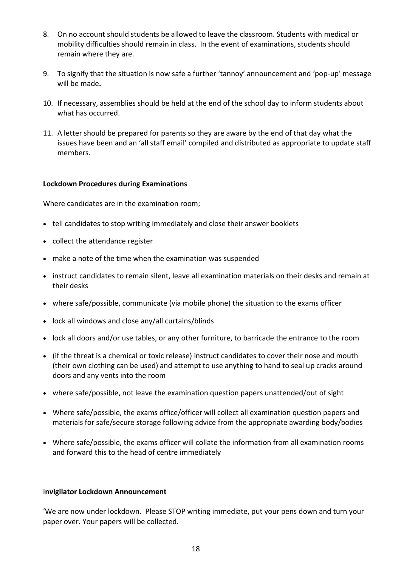- 8. On no account should students be allowed to leave the classroom. Students with medical or mobility difficulties should remain in class. In the event of examinations, students should remain where they are.
- 9. To signify that the situation is now safe a further 'tannoy' announcement and 'pop-up' message will be made**.**
- 10. If necessary, assemblies should be held at the end of the school day to inform students about what has occurred.
- 11. A letter should be prepared for parents so they are aware by the end of that day what the issues have been and an 'all staff email' compiled and distributed as appropriate to update staff members.

#### **Lockdown Procedures during Examinations**

Where candidates are in the examination room;

- tell candidates to stop writing immediately and close their answer booklets
- collect the attendance register
- make a note of the time when the examination was suspended
- instruct candidates to remain silent, leave all examination materials on their desks and remain at their desks
- where safe/possible, communicate (via mobile phone) the situation to the exams officer
- lock all windows and close any/all curtains/blinds
- lock all doors and/or use tables, or any other furniture, to barricade the entrance to the room
- (if the threat is a chemical or toxic release) instruct candidates to cover their nose and mouth (their own clothing can be used) and attempt to use anything to hand to seal up cracks around doors and any vents into the room
- where safe/possible, not leave the examination question papers unattended/out of sight
- Where safe/possible, the exams office/officer will collect all examination question papers and materials for safe/secure storage following advice from the appropriate awarding body/bodies
- Where safe/possible, the exams officer will collate the information from all examination rooms and forward this to the head of centre immediately

#### I**nvigilator Lockdown Announcement**

'We are now under lockdown. Please STOP writing immediate, put your pens down and turn your paper over. Your papers will be collected.